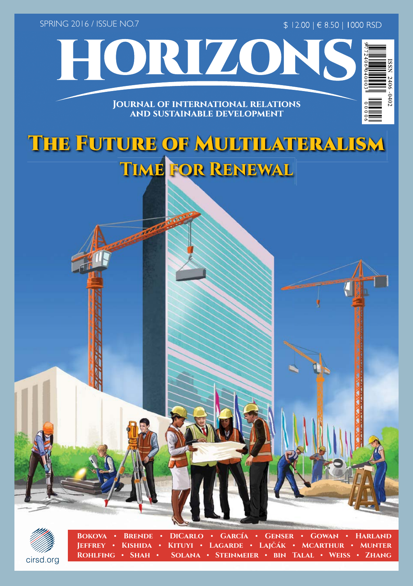SPRING 2016 / ISSUE NO.7

\$ 12.00 | € 8.50 | 1000 RSD



#### **JOURNAL OF INTERNATIONAL RELATIONS AND SUSTAINABLE DEVELOPMENT**

HORIZONS

## The Future of Multilateralism **Time for Renewal**



**Bokova • Brende • DiCarlo • García • Genser • Gowan • Harland Jeffrey • Kishida • Kituyi • Lagarde • Lajčák • McArthur • Munter Rohlfing • Shah • Solana • Steinmeier • bin Talal • Weiss • Zhang**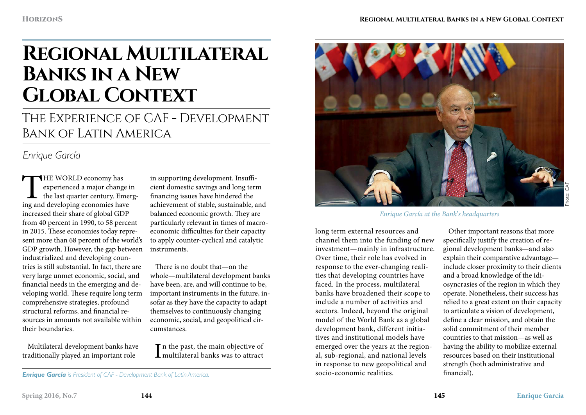# **Regional Multilateral Banks in a New Global Context**

The Experience of CAF - Development Bank of Latin America

### *Enrique García*

THE WORLD economy has<br>
experienced a major change is<br>
the last quarter century. Emergency<br>
ing and developing economies have experienced a major change in the last quarter century. Emergincreased their share of global GDP from 40 percent in 1990, to 58 percent in 2015. These economies today represent more than 68 percent of the world's GDP growth. However, the gap between industrialized and developing countries is still substantial. In fact, there are very large unmet economic, social, and financial needs in the emerging and developing world. These require long term comprehensive strategies, profound structural reforms, and financial resources in amounts not available within their boundaries.

Multilateral development banks have traditionally played an important role

in supporting development. Insufficient domestic savings and long term financing issues have hindered the achievement of stable, sustainable, and balanced economic growth. They are particularly relevant in times of macroeconomic difficulties for their capacity to apply counter-cyclical and catalytic instruments.

There is no doubt that—on the whole—multilateral development banks have been, are, and will continue to be, important instruments in the future, insofar as they have the capacity to adapt themselves to continuously changing economic, social, and geopolitical circumstances.

 $\prod$ n the past, the main objective of multilateral banks was to attract multilateral banks was to attract

*Enrique García is President of CAF - Development Bank of Latin America.*

*Enrique García at the Bank*'*s headquarters*

long term external resources and channel them into the funding of new investment—mainly in infrastructure. Over time, their role has evolved in response to the ever-changing realities that developing countries have faced. In the process, multilateral banks have broadened their scope to include a number of activities and sectors. Indeed, beyond the original model of the World Bank as a global development bank, different initiatives and institutional models have emerged over the years at the regional, sub-regional, and national levels in response to new geopolitical and socio-economic realities.

Other important reasons that more specifically justify the creation of regional development banks—and also explain their comparative advantage include closer proximity to their clients and a broad knowledge of the idiosyncrasies of the region in which they operate. Nonetheless, their success has relied to a great extent on their capacity to articulate a vision of development, define a clear mission, and obtain the solid commitment of their member countries to that mission—as well as having the ability to mobilize external resources based on their institutional strength (both administrative and financial).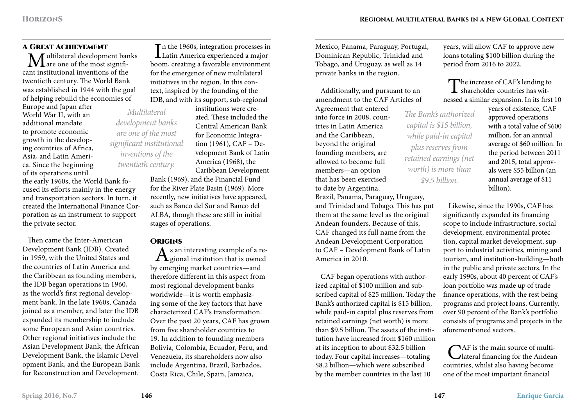#### A Great Achievement

 $\mathbf{M}$ ultilateral development banks<br>and intertival inventions of the cant institutional inventions of the twentieth century. The World Bank was established in 1944 with the goal of helping rebuild the economies of

Europe and Japan after World War II, with an additional mandate to promote economic growth in the developing countries of Africa, Asia, and Latin America. Since the beginning of its operations until

the early 1960s, the World Bank focused its efforts mainly in the energy and transportation sectors. In turn, it created the International Finance Corporation as an instrument to support the private sector.

Then came the Inter-American Development Bank (IDB). Created in 1959, with the United States and the countries of Latin America and the Caribbean as founding members, the IDB began operations in 1960, as the world's first regional development bank. In the late 1960s, Canada joined as a member, and later the IDB expanded its membership to include some European and Asian countries. Other regional initiatives include the Asian Development Bank, the African Development Bank, the Islamic Development Bank, and the European Bank for Reconstruction and Development.

In the 1960s, integration processes in<br>Latin America experienced a major Tn the 1960s, integration processes in boom, creating a favorable environment for the emergence of new multilateral initiatives in the region. In this context, inspired by the founding of the IDB, and with its support, sub-regional

institutions were created. These included the Central American Bank for Economic Integration (1961), CAF – Development Bank of Latin America (1968), the Caribbean Development Bank (1969), and the Financial Fund for the River Plate Basin (1969). More recently, new initiatives have appeared, such as Banco del Sur and Banco del ALBA, though these are still in initial stages of operations. *Multilateral development banks are one of the most significant institutional inventions of the twentieth century.*

#### **ORIGINS**

As an interesting example of a re-gional institution that is owned by emerging market countries—and therefore different in this aspect from most regional development banks worldwide—it is worth emphasizing some of the key factors that have characterized CAF's transformation. Over the past 20 years, CAF has grown from five shareholder countries to 19. In addition to founding members Bolivia, Colombia, Ecuador, Peru, and Venezuela, its shareholders now also include Argentina, Brazil, Barbados, Costa Rica, Chile, Spain, Jamaica,

Mexico, Panama, Paraguay, Portugal, Dominican Republic, Trinidad and Tobago, and Uruguay, as well as 14 private banks in the region.

Additionally, and pursuant to an amendment to the CAF Articles of

Agreement that entered into force in 2008, countries in Latin America and the Caribbean, beyond the original founding members, are allowed to become full members—an option that has been exercised to date by Argentina,

Brazil, Panama, Paraguay, Uruguay, and Trinidad and Tobago. This has put them at the same level as the original Andean founders. Because of this, CAF changed its full name from the Andean Development Corporation to CAF – Development Bank of Latin America in 2010.

CAF began operations with authorized capital of \$100 million and subscribed capital of \$25 million. Today the Bank's authorized capital is \$15 billion, while paid-in capital plus reserves from retained earnings (net worth) is more than \$9.5 billion. The assets of the institution have increased from \$160 million at its inception to about \$32.5 billion today. Four capital increases—totaling \$8.2 billion—which were subscribed by the member countries in the last 10

years, will allow CAF to approve new loans totaling \$100 billion during the period from 2016 to 2022.

The increase of CAF's lending to shareholder countries has witnessed a similar expansion. In its first 10

*The Bank's authorized capital is \$15 billion, while paid-in capital plus reserves from retained earnings (net worth) is more than \$9.5 billion.* 

years of existence, CAF approved operations with a total value of \$600 million, for an annual average of \$60 million. In the period between 2011 and 2015, total approvals were \$55 billion (an annual average of \$11 billion).

Likewise, since the 1990s, CAF has significantly expanded its financing scope to include infrastructure, social development, environmental protection, capital market development, support to industrial activities, mining and tourism, and institution-building—both in the public and private sectors. In the early 1990s, about 40 percent of CAF's loan portfolio was made up of trade finance operations, with the rest being programs and project loans. Currently, over 90 percent of the Bank's portfolio consists of programs and projects in the aforementioned sectors.

CAF is the main source of multi-<br>
lateral financing for the Andean countries, whilst also having become one of the most important financial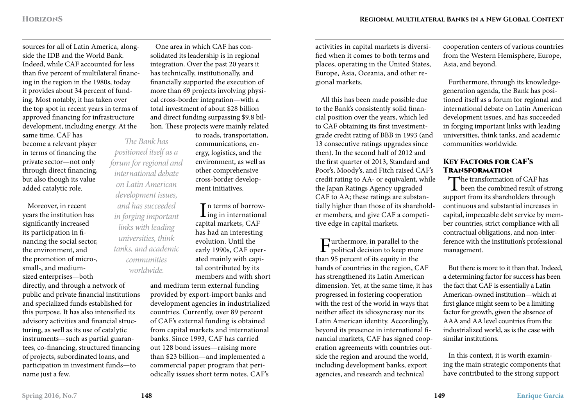sources for all of Latin America, alongside the IDB and the World Bank. Indeed, while CAF accounted for less than five percent of multilateral financing in the region in the 1980s, today it provides about 34 percent of funding. Most notably, it has taken over the top spot in recent years in terms of approved financing for infrastructure development, including energy. At the

same time, CAF has become a relevant player in terms of financing the private sector—not only through direct financing, but also though its value added catalytic role.

Moreover, in recent years the institution has significantly increased its participation in financing the social sector, the environment, and the promotion of micro-, small-, and medium-

sized enterprises—both directly, and through a network of public and private financial institutions and specialized funds established for this purpose. It has also intensified its advisory activities and financial structuring, as well as its use of catalytic instruments—such as partial guarantees, co-financing, structured financing of projects, subordinated loans, and participation in investment funds—to name just a few.

One area in which CAF has consolidated its leadership is in regional integration. Over the past 20 years it has technically, institutionally, and financially supported the execution of more than 69 projects involving physical cross-border integration—with a total investment of about \$28 billion and direct funding surpassing \$9.8 billion. These projects were mainly related

to roads, transportation, communications, energy, logistics, and the environment, as well as other comprehensive cross-border development initiatives.

 $\prod_{\substack{\text{in } n}}$  terms of borrown terms of borrowcapital markets, CAF has had an interesting evolution. Until the early 1990s, CAF operated mainly with capital contributed by its members and with short

and medium term external funding provided by export-import banks and development agencies in industrialized countries. Currently, over 89 percent of CAF's external funding is obtained from capital markets and international banks. Since 1993, CAF has carried out 128 bond issues—raising more than \$23 billion—and implemented a commercial paper program that periodically issues short term notes. CAF's

activities in capital markets is diversified when it comes to both terms and places, operating in the United States, Europe, Asia, Oceania, and other regional markets.

All this has been made possible due to the Bank's consistently solid financial position over the years, which led to CAF obtaining its first investmentgrade credit rating of BBB in 1993 (and 13 consecutive ratings upgrades since then). In the second half of 2012 and the first quarter of 2013, Standard and Poor's, Moody's, and Fitch raised CAF's credit rating to AA- or equivalent, while the Japan Ratings Agency upgraded CAF to AA; these ratings are substantially higher than those of its shareholder members, and give CAF a competitive edge in capital markets.

**T**urthermore, in parallel to the  $\Gamma$  political decision to keep more than 95 percent of its equity in the hands of countries in the region, CAF has strengthened its Latin American dimension. Yet, at the same time, it has progressed in fostering cooperation with the rest of the world in ways that neither affect its idiosyncrasy nor its Latin American identity. Accordingly, beyond its presence in international financial markets, CAF has signed cooperation agreements with countries outside the region and around the world, including development banks, export agencies, and research and technical

cooperation centers of various countries from the Western Hemisphere, Europe, Asia, and beyond.

Furthermore, through its knowledgegeneration agenda, the Bank has positioned itself as a forum for regional and international debate on Latin American development issues, and has succeeded in forging important links with leading universities, think tanks, and academic communities worldwide.

#### Key Factors for CAF's **TRANSFORMATION**

The transformation of CAF has<br>been the combined result of strong<br>we set from its shareholder through support from its shareholders through continuous and substantial increases in capital, impeccable debt service by member countries, strict compliance with all contractual obligations, and non-interference with the institution's professional management.

But there is more to it than that. Indeed, a determining factor for success has been the fact that CAF is essentially a Latin American-owned institution—which at first glance might seem to be a limiting factor for growth, given the absence of AAA and AA level countries from the industrialized world, as is the case with similar institutions.

In this context, it is worth examining the main strategic components that have contributed to the strong support

*The Bank has positioned itself as a forum for regional and international debate on Latin American development issues, and has succeeded in forging important links with leading universities, think tanks, and academic communities worldwide.*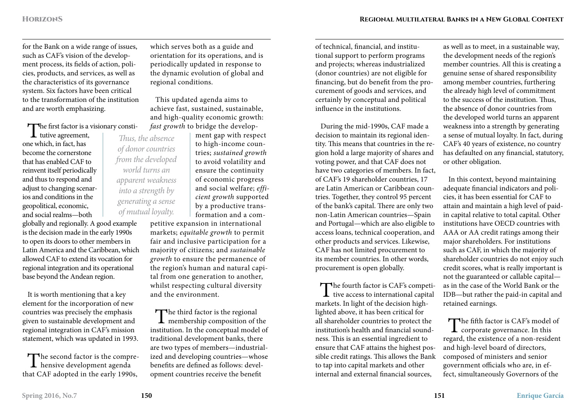for the Bank on a wide range of issues, such as CAF's vision of the development process, its fields of action, policies, products, and services, as well as the characteristics of its governance system. Six factors have been critical to the transformation of the institution and are worth emphasizing.

The first factor is a visionary consti-

tutive agreement, one which, in fact, has become the cornerstone that has enabled CAF to reinvent itself periodically and thus to respond and adjust to changing scenarios and conditions in the geopolitical, economic, and social realms—both

globally and regionally. A good example is the decision made in the early 1990s to open its doors to other members in Latin America and the Caribbean, which allowed CAF to extend its vocation for regional integration and its operational base beyond the Andean region.

It is worth mentioning that a key element for the incorporation of new countries was precisely the emphasis given to sustainable development and regional integration in CAF's mission statement, which was updated in 1993.

The second factor is the compre-<br>hensive development agenda that CAF adopted in the early 1990s,

which serves both as a guide and orientation for its operations, and is periodically updated in response to the dynamic evolution of global and regional conditions.

This updated agenda aims to achieve fast, sustained, sustainable, and high-quality economic growth: *fast growth* to bridge the develop-

> ment gap with respect to high-income countries; *sustained growth* to avoid volatility and ensure the continuity of economic progress and social welfare; *efficient growth* supported by a productive transformation and a com-

petitive expansion in international markets; *equitable growth* to permit fair and inclusive participation for a majority of citizens; and *sustainable growth* to ensure the permanence of the region's human and natural capital from one generation to another, whilst respecting cultural diversity and the environment.

The third factor is the regional **L** membership composition of the institution. In the conceptual model of traditional development banks, there are two types of members—industrialized and developing countries—whose benefits are defined as follows: development countries receive the benefit

of technical, financial, and institutional support to perform programs and projects; whereas industrialized (donor countries) are not eligible for financing, but do benefit from the procurement of goods and services, and certainly by conceptual and political influence in the institutions.

During the mid-1990s, CAF made a decision to maintain its regional identity. This means that countries in the region hold a large majority of shares and voting power, and that CAF does not have two categories of members. In fact, of CAF's 19 shareholder countries, 17 are Latin American or Caribbean countries. Together, they control 95 percent of the bank's capital. There are only two non-Latin American countries—Spain and Portugal—which are also eligible to access loans, technical cooperation, and other products and services. Likewise, CAF has not limited procurement to its member countries. In other words, procurement is open globally.

The fourth factor is CAF's competi-<br>tive access to international capital<br>seeked to the desirion high markets. In light of the decision highlighted above, it has been critical for all shareholder countries to protect the institution's health and financial soundness. This is an essential ingredient to ensure that CAF attains the highest possible credit ratings. This allows the Bank to tap into capital markets and other internal and external financial sources,

as well as to meet, in a sustainable way, the development needs of the region's member countries. All this is creating a genuine sense of shared responsibility among member countries, furthering the already high level of commitment to the success of the institution. Thus, the absence of donor countries from the developed world turns an apparent weakness into a strength by generating a sense of mutual loyalty. In fact, during CAF's 40 years of existence, no country has defaulted on any financial, statutory, or other obligation.

In this context, beyond maintaining adequate financial indicators and policies, it has been essential for CAF to attain and maintain a high level of paidin capital relative to total capital. Other institutions have OECD countries with AAA or AA credit ratings among their major shareholders. For institutions such as CAF, in which the majority of shareholder countries do not enjoy such credit scores, what is really important is not the guaranteed or callable capital as in the case of the World Bank or the IDB—but rather the paid-in capital and retained earnings.

The fifth factor is CAF's model of<br>corporate governance. In this regard, the existence of a non-resident and high-level board of directors, composed of ministers and senior government officials who are, in effect, simultaneously Governors of the

*Thus, the absence of donor countries from the developed world turns an apparent weakness into a strength by generating a sense of mutual loyalty.*